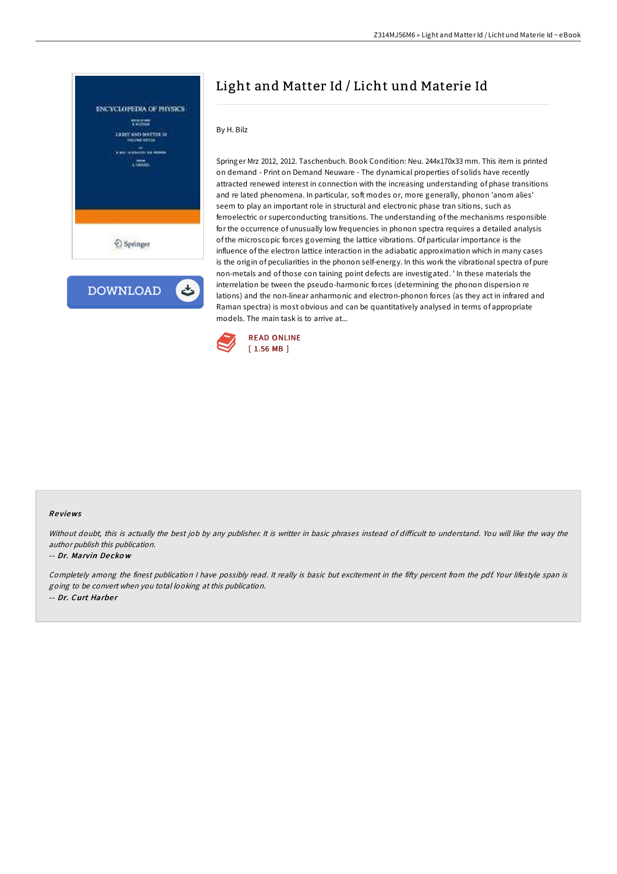

**DOWNLOAD** ٹ

# Light and Matter Id / Licht und Materie Id

By H. Bilz

Springer Mrz 2012, 2012. Taschenbuch. Book Condition: Neu. 244x170x33 mm. This item is printed on demand - Print on Demand Neuware - The dynamical properties of solids have recently attracted renewed interest in connection with the increasing understanding of phase transitions and re lated phenomena. In particular, soft modes or, more generally, phonon 'anom alies' seem to play an important role in structural and electronic phase tran sitions, such as ferroelectric or superconducting transitions. The understanding of the mechanisms responsible for the occurrence of unusually low frequencies in phonon spectra requires a detailed analysis of the microscopic forces governing the lattice vibrations. Of particular importance is the influence of the electron lattice interaction in the adiabatic approximation which in many cases is the origin of peculiarities in the phonon self-energy. In this work the vibrational spectra of pure non-metals and of those con taining point defects are investigated. ' In these materials the interrelation be tween the pseudo-harmonic forces (determining the phonon dispersion re lations) and the non-linear anharmonic and electron-phonon forces (as they act in infrared and Raman spectra) is most obvious and can be quantitatively analysed in terms of appropriate models. The main task is to arrive at...



## Re views

Without doubt, this is actually the best job by any publisher. It is writter in basic phrases instead of difficult to understand. You will like the way the author publish this publication.

#### -- Dr. Marvin De cko <sup>w</sup>

Completely among the finest publication I have possibly read. It really is basic but excitement in the fifty percent from the pdf. Your lifestyle span is going to be convert when you total looking at this publication. -- Dr. Curt Harber